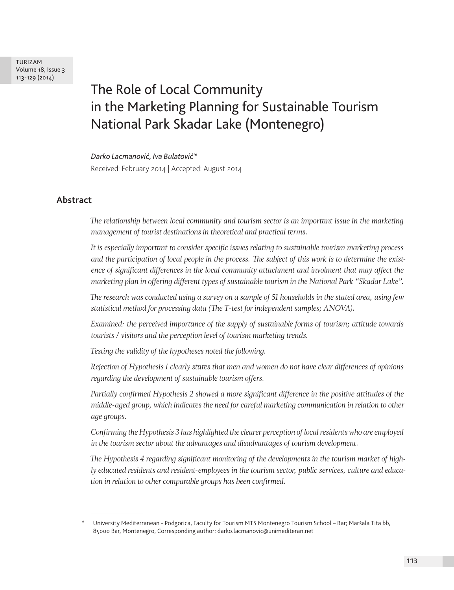TURIZAM Volume 18, Issue 3 113-129 (2014)

# The Role of Local Community in the Marketing Planning for Sustainable Tourism National Park Skadar Lake (Montenegro)

*Darko Lacmanović, Iva Bulatović\**

Received: February 2014 | Accepted: August 2014

# **Abstract**

*The relationship between local community and tourism sector is an important issue in the marketing management of tourist destinations in theoretical and practical terms.* 

*It is especially important to consider specific issues relating to sustainable tourism marketing process and the participation of local people in the process. The subject of this work is to determine the existence of significant differences in the local community attachment and involment that may affect the marketing plan in offering different types of sustainable tourism in the National Park "Skadar Lake".*

*The research was conducted using a survey on a sample of 51 households in the stated area, using few statistical method for processing data (The T-test for independent samples; ANOVA).*

*Examined: the perceived importance of the supply of sustainable forms of tourism; attitude towards tourists / visitors and the perception level of tourism marketing trends.*

*Testing the validity of the hypotheses noted the following.*

*Rejection of Hypothesis 1 clearly states that men and women do not have clear differences of opinions regarding the development of sustainable tourism offers.*

*Partially confirmed Hypothesis 2 showed a more significant difference in the positive attitudes of the middle-aged group, which indicates the need for careful marketing communication in relation to other age groups.*

*Confirming the Hypothesis 3 has highlighted the clearer perception of local residents who are employed in the tourism sector about the advantages and disadvantages of tourism development.*

*The Hypothesis 4 regarding significant monitoring of the developments in the tourism market of highly educated residents and resident-employees in the tourism sector, public services, culture and education in relation to other comparable groups has been confirmed.*

<sup>\*</sup> University Mediterranean - Podgorica, Faculty for Tourism MTS Montenegro Tourism School – Bar; Maršala Tita bb, 85000 Bar, Montenegro, Corresponding author: darko.lacmanovic@unimediteran.net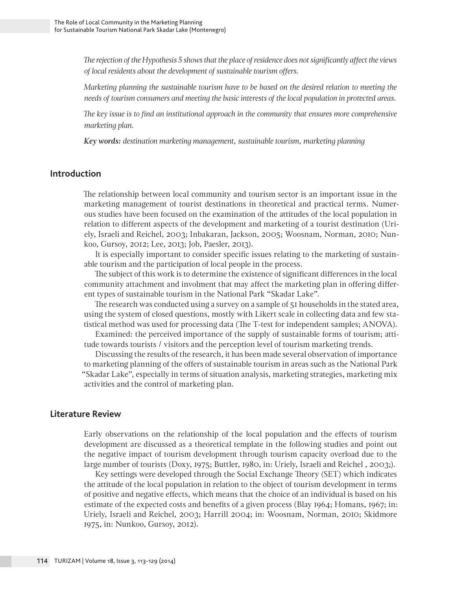*The rejection of the Hypothesis 5 shows that the place of residence does not significantly affect the views of local residents about the development of sustainable tourism offers.*

*Marketing planning the sustainable tourism have to be based on the desired relation to meeting the needs of tourism consumers and meeting the basic interests of the local population in protected areas.*

*The key issue is to find an institutional approach in the community that ensures more comprehensive marketing plan.*

*Key words: destination marketing management, sustainable tourism, marketing planning* 

## **Introduction**

The relationship between local community and tourism sector is an important issue in the marketing management of tourist destinations in theoretical and practical terms. Numerous studies have been focused on the examination of the attitudes of the local population in relation to different aspects of the development and marketing of a tourist destination (Uriely, Israeli and Reichel, 2003; Inbakaran, Jackson, 2005; Woosnam, Norman, 2010; Nunkoo, Gursoy, 2012; Lee, 2013; Job, Paesler, 2013).

It is especially important to consider specific issues relating to the marketing of sustainable tourism and the participation of local people in the process.

The subject of this work is to determine the existence of significant differences in the local community attachment and involment that may affect the marketing plan in offering different types of sustainable tourism in the National Park "Skadar Lake".

The research was conducted using a survey on a sample of 51 households in the stated area, using the system of closed questions, mostly with Likert scale in collecting data and few statistical method was used for processing data (The T-test for independent samples; ANOVA).

Examined: the perceived importance of the supply of sustainable forms of tourism; attitude towards tourists / visitors and the perception level of tourism marketing trends.

Discussing the results of the research, it has been made several observation of importance to marketing planning of the offers of sustainable tourism in areas such as the National Park "Skadar Lake", especially in terms of situation analysis, marketing strategies, marketing mix activities and the control of marketing plan.

## **Literature Review**

Early observations on the relationship of the local population and the effects of tourism development are discussed as a theoretical template in the following studies and point out the negative impact of tourism development through tourism capacity overload due to the large number of tourists (Doxy, 1975; Buttler, 1980, in: Uriely, Israeli and Reichel , 2003;).

Key settings were developed through the Social Exchange Theory (SET) which indicates the attitude of the local population in relation to the object of tourism development in terms of positive and negative effects, which means that the choice of an individual is based on his estimate of the expected costs and benefits of a given process (Blay 1964; Homans, 1967; in: Uriely, Israeli and Reichel, 2003; Harrill 2004; in: Woosnam, Norman, 2010; Skidmore 1975, in: Nunkoo, Gursoy, 2012).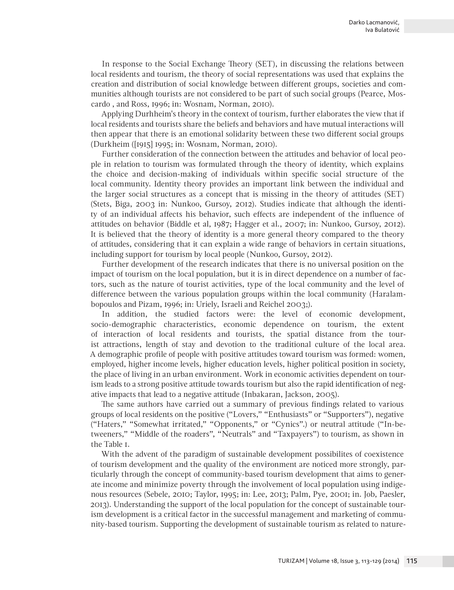In response to the Social Exchange Theory (SET), in discussing the relations between local residents and tourism, the theory of social representations was used that explains the creation and distribution of social knowledge between different groups, societies and communities although tourists are not considered to be part of such social groups (Pearce, Moscardo , and Ross, 1996; in: Wosnam, Norman, 2010).

Applying Durhheim's theory in the context of tourism, further elaborates the view that if local residents and tourists share the beliefs and behaviors and have mutual interactions will then appear that there is an emotional solidarity between these two different social groups (Durkheim ([1915] 1995; in: Wosnam, Norman, 2010).

Further consideration of the connection between the attitudes and behavior of local people in relation to tourism was formulated through the theory of identity, which explains the choice and decision-making of individuals within specific social structure of the local community. Identity theory provides an important link between the individual and the larger social structures as a concept that is missing in the theory of attitudes (SET) (Stets, Biga, 2003 in: Nunkoo, Gursoy, 2012). Studies indicate that although the identity of an individual affects his behavior, such effects are independent of the influence of attitudes on behavior (Biddle et al, 1987; Hagger et al., 2007; in: Nunkoo, Gursoy, 2012). It is believed that the theory of identity is a more general theory compared to the theory of attitudes, considering that it can explain a wide range of behaviors in certain situations, including support for tourism by local people (Nunkoo, Gursoy, 2012).

Further development of the research indicates that there is no universal position on the impact of tourism on the local population, but it is in direct dependence on a number of factors, such as the nature of tourist activities, type of the local community and the level of difference between the various population groups within the local community (Haralambopoulos and Pizam, 1996; in: Uriely, Israeli and Reichel 2003;).

In addition, the studied factors were: the level of economic development, socio-demographic characteristics, economic dependence on tourism, the extent of interaction of local residents and tourists, the spatial distance from the tourist attractions, length of stay and devotion to the traditional culture of the local area. A demographic profile of people with positive attitudes toward tourism was formed: women, employed, higher income levels, higher education levels, higher political position in society, the place of living in an urban environment. Work in economic activities dependent on tourism leads to a strong positive attitude towards tourism but also the rapid identification of negative impacts that lead to a negative attitude (Inbakaran, Jackson, 2005).

The same authors have carried out a summary of previous findings related to various groups of local residents on the positive ("Lovers," "Enthusiasts" or "Supporters"), negative ("Haters," "Somewhat irritated," "Opponents," or "Cynics".) or neutral attitude ("In-betweeners," "Middle of the roaders", "Neutrals" and "Taxpayers") to tourism, as shown in the Table 1.

With the advent of the paradigm of sustainable development possibilites of coexistence of tourism development and the quality of the environment are noticed more strongly, particularly through the concept of community-based tourism development that aims to generate income and minimize poverty through the involvement of local population using indigenous resources (Sebele, 2010; Taylor, 1995; in: Lee, 2013; Palm, Pye, 2001; in. Job, Paesler, 2013). Understanding the support of the local population for the concept of sustainable tourism development is a critical factor in the successful management and marketing of community-based tourism. Supporting the development of sustainable tourism as related to nature-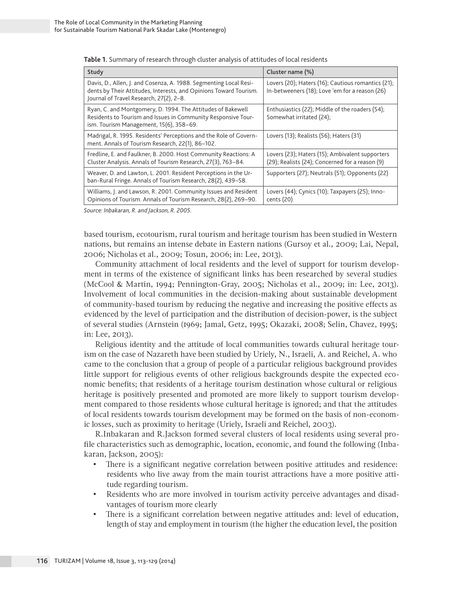| Study                                                                                                                                                                             | Cluster name (%)                                                                                     |
|-----------------------------------------------------------------------------------------------------------------------------------------------------------------------------------|------------------------------------------------------------------------------------------------------|
| Davis, D., Allen, J. and Cosenza, A. 1988. Segmenting Local Resi-<br>dents by Their Attitudes, Interests, and Opinions Toward Tourism.<br>Journal of Travel Research, 27(2), 2-8. | Lovers (20); Haters (16); Cautious romantics (21);<br>In-betweeners (18); Love 'em for a reason (26) |
| Ryan, C. and Montgomery, D. 1994. The Attitudes of Bakewell<br>Residents to Tourism and Issues in Community Responsive Tour-<br>ism. Tourism Management, 15(6), 358-69.           | Enthusiastics (22); Middle of the roaders (54);<br>Somewhat irritated (24);                          |
| Madrigal, R. 1995. Residents' Perceptions and the Role of Govern-<br>ment. Annals of Tourism Research, 22(1), 86-102.                                                             | Lovers (13); Realists (56); Haters (31)                                                              |
| Fredline, E. and Faulkner, B. 2000. Host Community Reactions: A<br>Cluster Analysis. Annals of Tourism Research, 27(3), 763-84.                                                   | Lovers (23); Haters (15); Ambivalent supporters<br>(29); Realists (24); Concerned for a reason (9)   |
| Weaver, D. and Lawton, L. 2001. Resident Perceptions in the Ur-<br>ban-Rural Fringe. Annals of Tourism Research, 28(2), 439-58.                                                   | Supporters (27); Neutrals (51); Opponents (22)                                                       |
| Williams, J. and Lawson, R. 2001. Community Issues and Resident<br>Opinions of Tourism. Annals of Tourism Research, 28(2), 269-90.                                                | Lovers (44); Cynics (10); Taxpayers (25); Inno-<br>cents (20)                                        |

**Table 1.** Summary of research through cluster analysis of attitudes of local residents

*Source: Inbakaran, R. and Jackson, R. 2005.*

based tourism, ecotourism, rural tourism and heritage tourism has been studied in Western nations, but remains an intense debate in Eastern nations (Gursoy et al., 2009; Lai, Nepal, 2006; Nicholas et al., 2009; Tosun, 2006; in: Lee, 2013).

Community attachment of local residents and the level of support for tourism development in terms of the existence of significant links has been researched by several studies (McCool & Martin, 1994; Pennington-Gray, 2005; Nicholas et al., 2009; in: Lee, 2013). Involvement of local communities in the decision-making about sustainable development of community-based tourism by reducing the negative and increasing the positive effects as evidenced by the level of participation and the distribution of decision-power, is the subject of several studies (Arnstein (1969; Jamal, Getz, 1995; Okazaki, 2008; Selin, Chavez, 1995; in: Lee, 2013).

Religious identity and the attitude of local communities towards cultural heritage tourism on the case of Nazareth have been studied by Uriely, N., Israeli, A. and Reichel, A. who came to the conclusion that a group of people of a particular religious background provides little support for religious events of other religious backgrounds despite the expected economic benefits; that residents of a heritage tourism destination whose cultural or religious heritage is positively presented and promoted are more likely to support tourism development compared to those residents whose cultural heritage is ignored; and that the attitudes of local residents towards tourism development may be formed on the basis of non-economic losses, such as proximity to heritage (Uriely, Israeli and Reichel, 2003).

R.Inbakaran and R.Jackson formed several clusters of local residents using several profile characteristics such as demographic, location, economic, and found the following (Inbakaran, Jackson, 2005):

- There is a significant negative correlation between positive attitudes and residence: residents who live away from the main tourist attractions have a more positive attitude regarding tourism.
- Residents who are more involved in tourism activity perceive advantages and disadvantages of tourism more clearly
- There is a significant correlation between negative attitudes and: level of education, length of stay and employment in tourism (the higher the education level, the position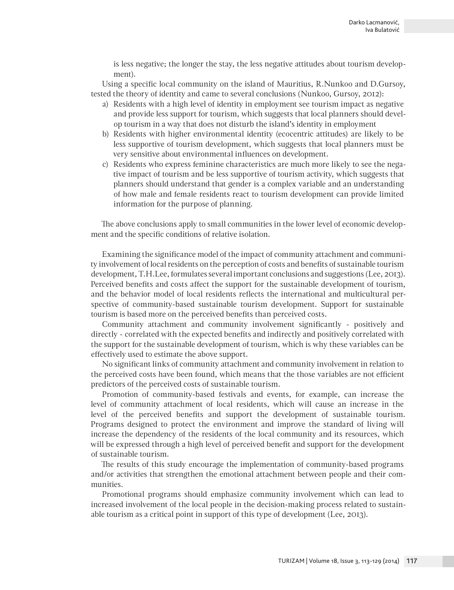is less negative; the longer the stay, the less negative attitudes about tourism development).

Using a specific local community on the island of Mauritius, R.Nunkoo and D.Gursoy, tested the theory of identity and came to several conclusions (Nunkoo, Gursoy, 2012):

- a) Residents with a high level of identity in employment see tourism impact as negative and provide less support for tourism, which suggests that local planners should develop tourism in a way that does not disturb the island's identity in employment
- b) Residents with higher environmental identity (ecocentric attitudes) are likely to be less supportive of tourism development, which suggests that local planners must be very sensitive about environmental influences on development.
- c) Residents who express feminine characteristics are much more likely to see the negative impact of tourism and be less supportive of tourism activity, which suggests that planners should understand that gender is a complex variable and an understanding of how male and female residents react to tourism development can provide limited information for the purpose of planning.

The above conclusions apply to small communities in the lower level of economic development and the specific conditions of relative isolation.

Examining the significance model of the impact of community attachment and community involvement of local residents on the perception of costs and benefits of sustainable tourism development, T.H.Lee, formulates several important conclusions and suggestions (Lee, 2013). Perceived benefits and costs affect the support for the sustainable development of tourism, and the behavior model of local residents reflects the international and multicultural perspective of community-based sustainable tourism development. Support for sustainable tourism is based more on the perceived benefits than perceived costs.

Community attachment and community involvement significantly - positively and directly - correlated with the expected benefits and indirectly and positively correlated with the support for the sustainable development of tourism, which is why these variables can be effectively used to estimate the above support.

No significant links of community attachment and community involvement in relation to the perceived costs have been found, which means that the those variables are not efficient predictors of the perceived costs of sustainable tourism.

Promotion of community-based festivals and events, for example, can increase the level of community attachment of local residents, which will cause an increase in the level of the perceived benefits and support the development of sustainable tourism. Programs designed to protect the environment and improve the standard of living will increase the dependency of the residents of the local community and its resources, which will be expressed through a high level of perceived benefit and support for the development of sustainable tourism.

The results of this study encourage the implementation of community-based programs and/or activities that strengthen the emotional attachment between people and their communities.

Promotional programs should emphasize community involvement which can lead to increased involvement of the local people in the decision-making process related to sustainable tourism as a critical point in support of this type of development (Lee, 2013).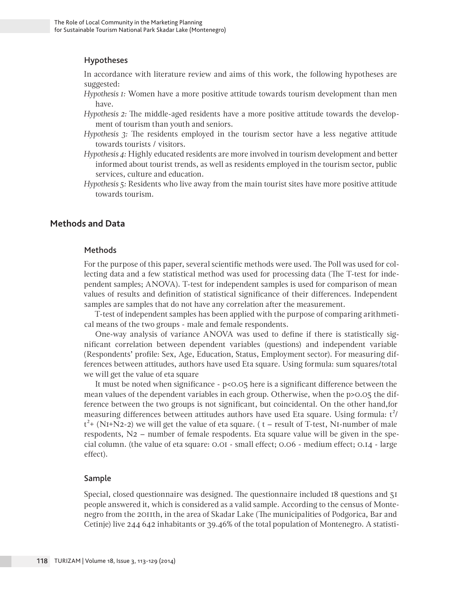## Hypotheses

In accordance with literature review and aims of this work, the following hypotheses are suggested:

- *Hypothesis 1:* Women have a more positive attitude towards tourism development than men have.
- *Hypothesis 2:* The middle-aged residents have a more positive attitude towards the development of tourism than youth and seniors.
- *Hypothesis 3:* The residents employed in the tourism sector have a less negative attitude towards tourists / visitors.
- *Hypothesis 4:* Highly educated residents are more involved in tourism development and better informed about tourist trends, as well as residents employed in the tourism sector, public services, culture and education.
- *Hypothesis 5:* Residents who live away from the main tourist sites have more positive attitude towards tourism.

## **Methods and Data**

## Methods

For the purpose of this paper, several scientific methods were used. The Poll was used for collecting data and a few statistical method was used for processing data (The T-test for independent samples; ANOVA). T-test for independent samples is used for comparison of mean values of results and definition of statistical significance of their differences. Independent samples are samples that do not have any correlation after the measurement.

T-test of independent samples has been applied with the purpose of comparing arithmetical means of the two groups - male and female respondents.

One-way analysis of variance ANOVA was used to define if there is statistically significant correlation between dependent variables (questions) and independent variable (Respondents' profile: Sex, Age, Education, Status, Employment sector). For measuring differences between attitudes, authors have used Eta square. Using formula: sum squares/total we will get the value of eta square

It must be noted when significance - p<0.05 here is a significant difference between the mean values of the dependent variables in each group. Otherwise, when the p>0.05 the difference between the two groups is not significant, but coincidental. On the other hand,for measuring differences between attitudes authors have used Eta square. Using formula:  $t^2/$  $t^2$ + (NI+N2-2) we will get the value of eta square. ( t – result of T-test, NI-number of male respodents, N2 – number of female respodents. Eta square value will be given in the special column. (the value of eta square: 0.01 - small effect; 0.06 - medium effect; 0.14 - large effect).

## Sample

Special, closed questionnaire was designed. The questionnaire included 18 questions and 51 people answered it, which is considered as a valid sample. According to the census of Montenegro from the 2011th, in the area of Skadar Lake (The municipalities of Podgorica, Bar and Cetinje) live 244 642 inhabitants or 39.46% of the total population of Montenegro. A statisti-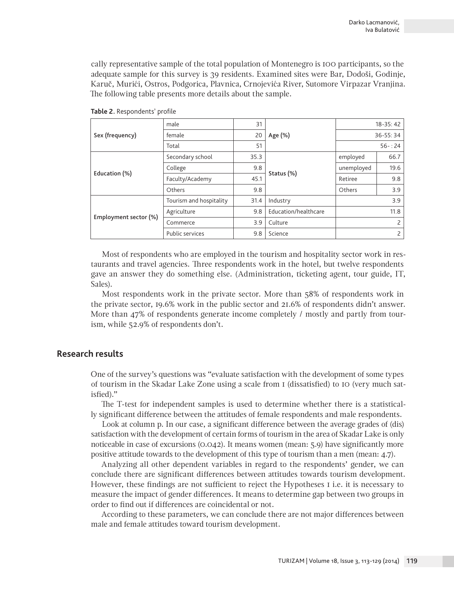cally representative sample of the total population of Montenegro is 100 participants, so the adequate sample for this survey is 39 residents. Examined sites were Bar, Dodoši, Godinje, Karuč, Murići, Ostros, Podgorica, Plavnica, Crnojevića River, Sutomore Virpazar Vranjina. The following table presents more details about the sample.

|                       | male                    | 31   |                      | $18 - 35:42$   |                |
|-----------------------|-------------------------|------|----------------------|----------------|----------------|
| Sex (frequency)       | female                  | 20   | Age (%)              |                | 36-55:34       |
|                       | Total                   | 51   |                      |                | $56 - 24$      |
| Education (%)         | Secondary school        | 35.3 |                      | employed       | 66.7           |
|                       | College                 | 9.8  |                      | unemployed     | 19.6           |
|                       | Faculty/Academy         | 45.1 | Status (%)           | Retiree        | 9.8            |
|                       | Others                  | 9.8  |                      | Others         | 3.9            |
|                       | Tourism and hospitality | 31.4 | Industry             |                | 3.9            |
| Employment sector (%) | Agriculture             | 9.8  | Education/healthcare | 11.8           |                |
|                       | Commerce                | 3.9  | Culture              | $\overline{c}$ |                |
|                       | Public services         | 9.8  | Science              |                | $\overline{c}$ |

**Table 2.** Respondents' profile

Most of respondents who are employed in the tourism and hospitality sector work in restaurants and travel agencies. Three respondents work in the hotel, but twelve respondents gave an answer they do something else. (Administration, ticketing agent, tour guide, IT, Sales).

Most respondents work in the private sector. More than 58% of respondents work in the private sector, 19.6% work in the public sector and 21.6% of respondents didn't answer. More than 47% of respondents generate income completely / mostly and partly from tourism, while 52.9% of respondents don't.

## **Research results**

One of the survey's questions was "evaluate satisfaction with the development of some types of tourism in the Skadar Lake Zone using a scale from 1 (dissatisfied) to 10 (very much satisfied)."

The T-test for independent samples is used to determine whether there is a statistically significant difference between the attitudes of female respondents and male respondents.

Look at column p. In our case, a significant difference between the average grades of (dis) satisfaction with the development of certain forms of tourism in the area of Skadar Lake is only noticeable in case of excursions (0.042). It means women (mean: 5.9) have significantly more positive attitude towards to the development of this type of tourism than a men (mean: 4.7).

Analyzing all other dependent variables in regard to the respondents' gender, we can conclude there are significant differences between attitudes towards tourism development. However, these findings are not sufficient to reject the Hypotheses 1 i.e. it is necessary to measure the impact of gender differences. It means to determine gap between two groups in order to find out if differences are coincidental or not.

According to these parameters, we can conclude there are not major differences between male and female attitudes toward tourism development.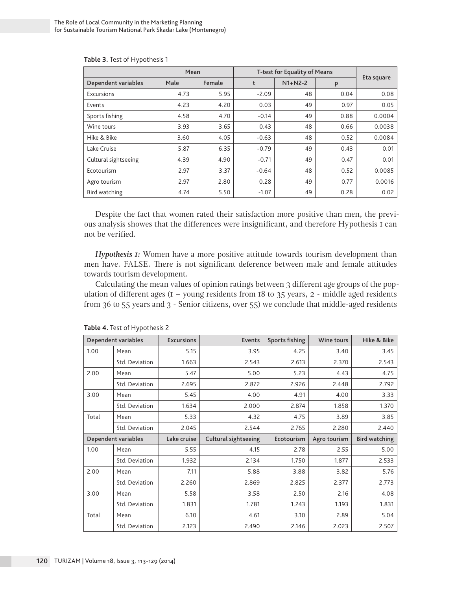|                      | T-test for Equality of Means<br>Mean |        |         |           |      |            |
|----------------------|--------------------------------------|--------|---------|-----------|------|------------|
| Dependent variables  | Male                                 | Female | t       | $N1+N2-2$ | P    | Eta square |
| Excursions           | 4.73                                 | 5.95   | $-2.09$ | 48        | 0.04 | 0.08       |
| Events               | 4.23                                 | 4.20   | 0.03    | 49        | 0.97 | 0.05       |
| Sports fishing       | 4.58                                 | 4.70   | $-0.14$ | 49        | 0.88 | 0.0004     |
| Wine tours           | 3.93                                 | 3.65   | 0.43    | 48        | 0.66 | 0.0038     |
| Hike & Bike          | 3.60                                 | 4.05   | $-0.63$ | 48        | 0.52 | 0.0084     |
| Lake Cruise          | 5.87                                 | 6.35   | $-0.79$ | 49        | 0.43 | 0.01       |
| Cultural sightseeing | 4.39                                 | 4.90   | $-0.71$ | 49        | 0.47 | 0.01       |
| Ecotourism           | 2.97                                 | 3.37   | $-0.64$ | 48        | 0.52 | 0.0085     |
| Agro tourism         | 2.97                                 | 2.80   | 0.28    | 49        | 0.77 | 0.0016     |
| Bird watching        | 4.74                                 | 5.50   | $-1.07$ | 49        | 0.28 | 0.02       |

**Table 3.** Test of Hypothesis 1

Despite the fact that women rated their satisfaction more positive than men, the previous analysis showes that the differences were insignificant, and therefore Hypothesis 1 can not be verified.

*Hypothesis 1:* Women have a more positive attitude towards tourism development than men have. FALSE. There is not significant deference between male and female attitudes towards tourism development.

Calculating the mean values of opinion ratings between 3 different age groups of the population of different ages  $(I - young$  residents from 18 to 35 years,  $2$  - middle aged residents from 36 to 55 years and 3 - Senior citizens, over 55) we conclude that middle-aged residents

|       | Dependent variables | <b>Excursions</b> | Events                      | Sports fishing | Wine tours   | Hike & Bike          |
|-------|---------------------|-------------------|-----------------------------|----------------|--------------|----------------------|
| 1.00  | Mean                | 5.15              | 3.95                        | 4.25           | 3.40         | 3.45                 |
|       | Std. Deviation      | 1.663             | 2.543                       | 2.613          | 2.370        | 2.543                |
| 2.00  | Mean                | 5.47              | 5.00                        | 5.23           | 4.43         | 4.75                 |
|       | Std. Deviation      | 2.695             | 2.872                       | 2.926          | 2.448        | 2.792                |
| 3.00  | Mean                | 5.45              | 4.00                        | 4.91           | 4.00         | 3.33                 |
|       | Std. Deviation      | 1.634             | 2.000                       | 2.874          | 1.858        | 1.370                |
| Total | Mean                | 5.33              | 4.32                        | 4.75           | 3.89         | 3.85                 |
|       | Std. Deviation      | 2.045             | 2.544                       | 2.765          | 2.280        | 2.440                |
|       | Dependent variables | Lake cruise       | <b>Cultural sightseeing</b> | Ecotourism     | Agro tourism | <b>Bird watching</b> |
| 1.00  | Mean                | 5.55              | 4.15                        | 2.78           | 2.55         | 5.00                 |
|       | Std. Deviation      | 1.932             | 2.134                       | 1.750          | 1.877        | 2.533                |
| 2.00  | Mean                | 7.11              | 5.88                        | 3.88           | 3.82         | 5.76                 |
|       | Std. Deviation      | 2.260             | 2.869                       | 2.825          | 2.377        | 2.773                |
| 3.00  |                     |                   |                             |                |              |                      |
|       | Mean                | 5.58              | 3.58                        | 2.50           | 2.16         | 4.08                 |
|       | Std. Deviation      | 1.831             | 1.781                       | 1.243          | 1.193        | 1.831                |
| Total | Mean                | 6.10              | 4.61                        | 3.10           | 2.89         | 5.04                 |

**Table 4.** Test of Hypothesis 2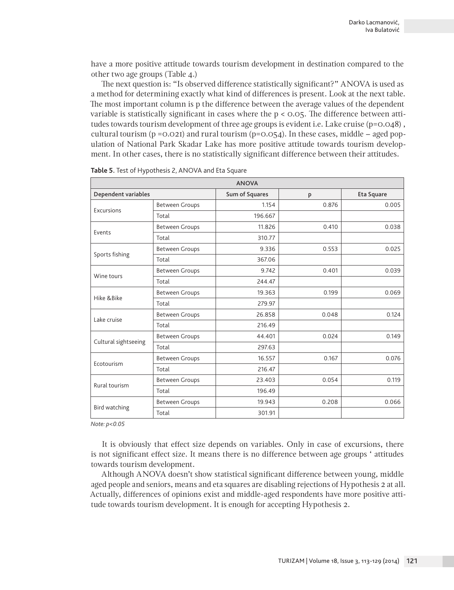have a more positive attitude towards tourism development in destination compared to the other two age groups (Table 4.)

The next question is: "Is observed difference statistically significant?" ANOVA is used as a method for determining exactly what kind of differences is present. Look at the next table. The most important column is p the difference between the average values of the dependent variable is statistically significant in cases where the  $p < 0.05$ . The difference between attitudes towards tourism development of three age groups is evident i.e. Lake cruise (p=0.048), cultural tourism ( $p = 0.021$ ) and rural tourism ( $p = 0.054$ ). In these cases, middle – aged population of National Park Skadar Lake has more positive attitude towards tourism development. In other cases, there is no statistically significant difference between their attitudes.

| <b>ANOVA</b>         |                       |                |       |            |  |  |  |
|----------------------|-----------------------|----------------|-------|------------|--|--|--|
| Dependent variables  |                       | Sum of Squares | P     | Eta Square |  |  |  |
| Excursions           | <b>Between Groups</b> | 1.154          | 0.876 | 0.005      |  |  |  |
|                      | Total                 | 196.667        |       |            |  |  |  |
| Events               | <b>Between Groups</b> | 11.826         | 0.410 | 0.038      |  |  |  |
|                      | Total                 | 310.77         |       |            |  |  |  |
|                      | <b>Between Groups</b> | 9.336          | 0.553 | 0.025      |  |  |  |
| Sports fishing       | Total                 | 367.06         |       |            |  |  |  |
|                      | <b>Between Groups</b> | 9.742          | 0.401 | 0.039      |  |  |  |
| Wine tours           | Total                 | 244.47         |       |            |  |  |  |
| Hike & Bike          | <b>Between Groups</b> | 19.363         | 0.199 | 0.069      |  |  |  |
|                      | Total                 | 279.97         |       |            |  |  |  |
| Lake cruise          | <b>Between Groups</b> | 26.858         | 0.048 | 0.124      |  |  |  |
|                      | Total                 | 216.49         |       |            |  |  |  |
| Cultural sightseeing | <b>Between Groups</b> | 44.401         | 0.024 | 0.149      |  |  |  |
|                      | Total                 | 297.63         |       |            |  |  |  |
| Ecotourism           | <b>Between Groups</b> | 16.557         | 0.167 | 0.076      |  |  |  |
|                      | Total                 | 216.47         |       |            |  |  |  |
| Rural tourism        | <b>Between Groups</b> | 23.403         | 0.054 | 0.119      |  |  |  |
|                      | Total                 | 196.49         |       |            |  |  |  |
| Bird watching        | <b>Between Groups</b> | 19.943         | 0.208 | 0.066      |  |  |  |
|                      | Total                 | 301.91         |       |            |  |  |  |

**Table 5.** Test of Hypothesis 2, ANOVA and Eta Square

*Note: p<0.05*

It is obviously that effect size depends on variables. Only in case of excursions, there is not significant effect size. It means there is no difference between age groups ' attitudes towards tourism development.

Although ANOVA doesn't show statistical significant difference between young, middle aged people and seniors, means and eta squares are disabling rejections of Hypothesis 2 at all. Actually, differences of opinions exist and middle-aged respondents have more positive attitude towards tourism development. It is enough for accepting Hypothesis 2.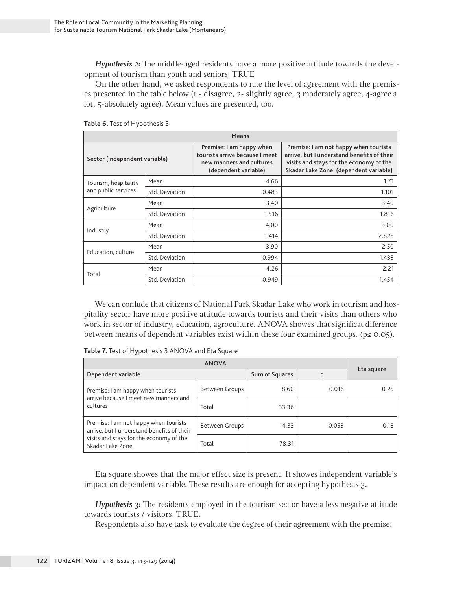*Hypothesis 2:* The middle-aged residents have a more positive attitude towards the development of tourism than youth and seniors. TRUE

On the other hand, we asked respondents to rate the level of agreement with the premises presented in the table below (1 - disagree, 2- slightly agree, 3 moderately agree, 4-agree a lot, 5-absolutely agree). Mean values are presented, too.

| Means                         |                |                                                                                                                |                                                                                                                                                                          |  |  |
|-------------------------------|----------------|----------------------------------------------------------------------------------------------------------------|--------------------------------------------------------------------------------------------------------------------------------------------------------------------------|--|--|
| Sector (independent variable) |                | Premise: I am happy when<br>tourists arrive because I meet<br>new manners and cultures<br>(dependent variable) | Premise: I am not happy when tourists<br>arrive, but I understand benefits of their<br>visits and stays for the economy of the<br>Skadar Lake Zone. (dependent variable) |  |  |
| Tourism, hospitality          | Mean           | 4.66                                                                                                           | 1.71                                                                                                                                                                     |  |  |
| and public services           | Std. Deviation | 0.483                                                                                                          | 1.101                                                                                                                                                                    |  |  |
| Agriculture                   | Mean           | 3.40                                                                                                           | 3.40                                                                                                                                                                     |  |  |
|                               | Std. Deviation | 1.516                                                                                                          | 1.816                                                                                                                                                                    |  |  |
|                               | Mean           | 4.00                                                                                                           | 3.00                                                                                                                                                                     |  |  |
| Industry                      | Std. Deviation | 1.414                                                                                                          | 2.828                                                                                                                                                                    |  |  |
|                               | Mean           | 3.90                                                                                                           | 2.50                                                                                                                                                                     |  |  |
| Education, culture            | Std. Deviation | 0.994                                                                                                          | 1.433                                                                                                                                                                    |  |  |
|                               | Mean           | 4.26                                                                                                           | 2.21                                                                                                                                                                     |  |  |
| Total                         | Std. Deviation | 0.949                                                                                                          | 1.454                                                                                                                                                                    |  |  |

**Table 6.** Test of Hypothesis 3

We can conlude that citizens of National Park Skadar Lake who work in tourism and hospitality sector have more positive attitude towards tourists and their visits than others who work in sector of industry, education, agroculture. ANOVA showes that significat diference between means of dependent variables exist within these four examined groups. ( $p \le 0.05$ ).

| Table 7. Test of Hypothesis 3 ANOVA and Eta Square |  |
|----------------------------------------------------|--|
|                                                    |  |

| Dependent variable                                                                     |                | Sum of Squares | P     | Eta square |
|----------------------------------------------------------------------------------------|----------------|----------------|-------|------------|
| Premise: I am happy when tourists<br>arrive because I meet new manners and<br>cultures | Between Groups | 8.60           | 0.016 | 0.25       |
|                                                                                        | Total          | 33.36          |       |            |
| Premise: I am not happy when tourists<br>arrive, but I understand benefits of their    | Between Groups | 14.33          | 0.053 | 0.18       |
| visits and stays for the economy of the<br>Skadar Lake Zone.                           | Total          | 78.31          |       |            |

Eta square showes that the major effect size is present. It showes independent variable's impact on dependent variable. These results are enough for accepting hypothesis 3.

*Hypothesis 3:* The residents employed in the tourism sector have a less negative attitude towards tourists / visitors. TRUE.

Respondents also have task to evaluate the degree of their agreement with the premise: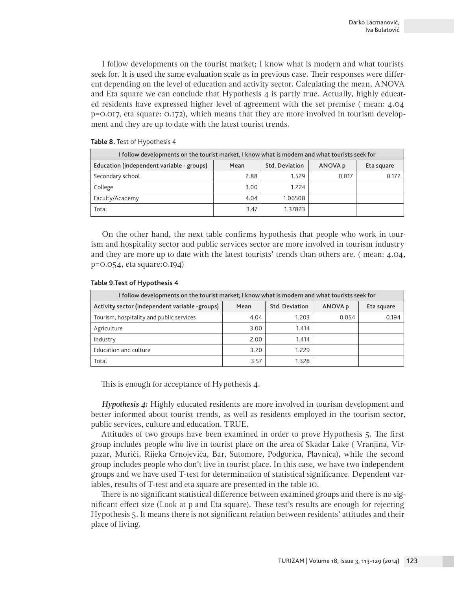I follow developments on the tourist market; I know what is modern and what tourists seek for. It is used the same evaluation scale as in previous case. Their responses were different depending on the level of education and activity sector. Calculating the mean, ANOVA and Eta square we can conclude that Hypothesis  $4$  is partly true. Actually, highly educated residents have expressed higher level of agreement with the set premise ( mean: 4.04 p=0.017, eta square: 0.172), which means that they are more involved in tourism development and they are up to date with the latest tourist trends.

| I follow developments on the tourist market, I know what is modern and what tourists seek for       |      |         |       |       |  |  |  |
|-----------------------------------------------------------------------------------------------------|------|---------|-------|-------|--|--|--|
| Education (independent variable - groups)<br><b>Std. Deviation</b><br>ANOVA p<br>Mean<br>Eta square |      |         |       |       |  |  |  |
| Secondary school                                                                                    | 2.88 | 1.529   | 0.017 | 0.172 |  |  |  |
| College                                                                                             | 3.00 | 1.224   |       |       |  |  |  |
| Faculty/Academy                                                                                     | 4.04 | 1.06508 |       |       |  |  |  |
| Total                                                                                               | 3.47 | 1.37823 |       |       |  |  |  |

## **Table 8.** Test of Hypothesis 4

On the other hand, the next table confirms hypothesis that people who work in tourism and hospitality sector and public services sector are more involved in tourism industry and they are more up to date with the latest tourists' trends than others are. ( mean: 4.04, p=0.054, eta square:0.194)

### **Table 9.Test of Hypothesis 4**

| I follow developments on the tourist market; I know what is modern and what tourists seek for            |      |       |       |       |  |  |  |  |
|----------------------------------------------------------------------------------------------------------|------|-------|-------|-------|--|--|--|--|
| Activity sector (independent variable -groups)<br><b>Std. Deviation</b><br>ANOVA p<br>Mean<br>Eta square |      |       |       |       |  |  |  |  |
| Tourism, hospitality and public services                                                                 | 4.04 | 1.203 | 0.054 | 0.194 |  |  |  |  |
| Agriculture                                                                                              | 3.00 | 1.414 |       |       |  |  |  |  |
| Industry                                                                                                 | 2.00 | 1.414 |       |       |  |  |  |  |
| Education and culture                                                                                    | 3.20 | 1.229 |       |       |  |  |  |  |
| Total                                                                                                    | 3.57 | 1.328 |       |       |  |  |  |  |

This is enough for acceptance of Hypothesis 4.

*Hypothesis 4:* Highly educated residents are more involved in tourism development and better informed about tourist trends, as well as residents employed in the tourism sector, public services, culture and education. TRUE.

Attitudes of two groups have been examined in order to prove Hypothesis 5. The first group includes people who live in tourist place on the area of Skadar Lake ( Vranjina, Virpazar, Murići, Rijeka Crnojevića, Bar, Sutomore, Podgorica, Plavnica), while the second group includes people who don't live in tourist place. In this case, we have two independent groups and we have used T-test for determination of statistical significance. Dependent variables, results of T-test and eta square are presented in the table 10.

There is no significant statistical difference between examined groups and there is no significant effect size (Look at p and Eta square). These test's results are enough for rejecting Hypothesis 5. It means there is not significant relation between residents' attitudes and their place of living.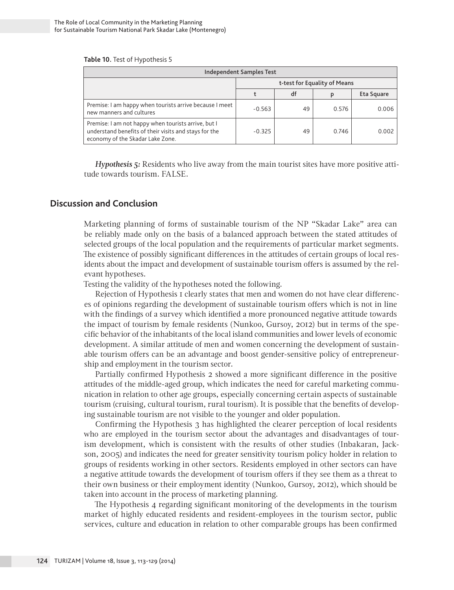#### **Table 10.** Test of Hypothesis 5

| <b>Independent Samples Test</b>                                                                                                                  |                              |    |       |            |  |  |
|--------------------------------------------------------------------------------------------------------------------------------------------------|------------------------------|----|-------|------------|--|--|
|                                                                                                                                                  | t-test for Equality of Means |    |       |            |  |  |
|                                                                                                                                                  |                              | df |       | Eta Square |  |  |
| Premise: I am happy when tourists arrive because I meet<br>new manners and cultures                                                              | $-0.563$                     | 49 | 0.576 | 0.006      |  |  |
| Premise: I am not happy when tourists arrive, but I<br>understand benefits of their visits and stays for the<br>economy of the Skadar Lake Zone. | $-0.325$                     | 49 | 0.746 | 0.002      |  |  |

*Hypothesis 5:* Residents who live away from the main tourist sites have more positive attitude towards tourism. FALSE.

## **Discussion and Conclusion**

Marketing planning of forms of sustainable tourism of the NP "Skadar Lake" area can be reliably made only on the basis of a balanced approach between the stated attitudes of selected groups of the local population and the requirements of particular market segments. The existence of possibly significant differences in the attitudes of certain groups of local residents about the impact and development of sustainable tourism offers is assumed by the relevant hypotheses.

Testing the validity of the hypotheses noted the following.

Rejection of Hypothesis 1 clearly states that men and women do not have clear differences of opinions regarding the development of sustainable tourism offers which is not in line with the findings of a survey which identified a more pronounced negative attitude towards the impact of tourism by female residents (Nunkoo, Gursoy, 2012) but in terms of the specific behavior of the inhabitants of the local island communities and lower levels of economic development. A similar attitude of men and women concerning the development of sustainable tourism offers can be an advantage and boost gender-sensitive policy of entrepreneurship and employment in the tourism sector.

Partially confirmed Hypothesis 2 showed a more significant difference in the positive attitudes of the middle-aged group, which indicates the need for careful marketing communication in relation to other age groups, especially concerning certain aspects of sustainable tourism (cruising, cultural tourism, rural tourism). It is possible that the benefits of developing sustainable tourism are not visible to the younger and older population.

Confirming the Hypothesis 3 has highlighted the clearer perception of local residents who are employed in the tourism sector about the advantages and disadvantages of tourism development, which is consistent with the results of other studies (Inbakaran, Jackson, 2005) and indicates the need for greater sensitivity tourism policy holder in relation to groups of residents working in other sectors. Residents employed in other sectors can have a negative attitude towards the development of tourism offers if they see them as a threat to their own business or their employment identity (Nunkoo, Gursoy, 2012), which should be taken into account in the process of marketing planning.

The Hypothesis 4 regarding significant monitoring of the developments in the tourism market of highly educated residents and resident-employees in the tourism sector, public services, culture and education in relation to other comparable groups has been confirmed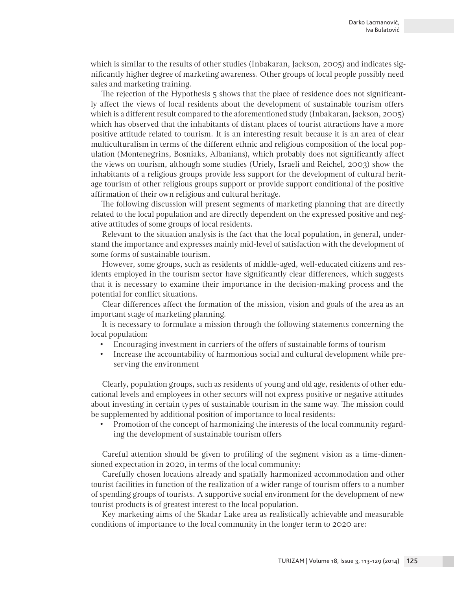which is similar to the results of other studies (Inbakaran, Jackson, 2005) and indicates significantly higher degree of marketing awareness. Other groups of local people possibly need sales and marketing training.

The rejection of the Hypothesis 5 shows that the place of residence does not significantly affect the views of local residents about the development of sustainable tourism offers which is a different result compared to the aforementioned study (Inbakaran, Jackson, 2005) which has observed that the inhabitants of distant places of tourist attractions have a more positive attitude related to tourism. It is an interesting result because it is an area of clear multiculturalism in terms of the different ethnic and religious composition of the local population (Montenegrins, Bosniaks, Albanians), which probably does not significantly affect the views on tourism, although some studies (Uriely, Israeli and Reichel, 2003) show the inhabitants of a religious groups provide less support for the development of cultural heritage tourism of other religious groups support or provide support conditional of the positive affirmation of their own religious and cultural heritage.

The following discussion will present segments of marketing planning that are directly related to the local population and are directly dependent on the expressed positive and negative attitudes of some groups of local residents.

Relevant to the situation analysis is the fact that the local population, in general, understand the importance and expresses mainly mid-level of satisfaction with the development of some forms of sustainable tourism.

However, some groups, such as residents of middle-aged, well-educated citizens and residents employed in the tourism sector have significantly clear differences, which suggests that it is necessary to examine their importance in the decision-making process and the potential for conflict situations.

Clear differences affect the formation of the mission, vision and goals of the area as an important stage of marketing planning.

It is necessary to formulate a mission through the following statements concerning the local population:

- Encouraging investment in carriers of the offers of sustainable forms of tourism
- Increase the accountability of harmonious social and cultural development while preserving the environment

Clearly, population groups, such as residents of young and old age, residents of other educational levels and employees in other sectors will not express positive or negative attitudes about investing in certain types of sustainable tourism in the same way. The mission could be supplemented by additional position of importance to local residents:

• Promotion of the concept of harmonizing the interests of the local community regarding the development of sustainable tourism offers

Careful attention should be given to profiling of the segment vision as a time-dimensioned expectation in 2020, in terms of the local community:

Carefully chosen locations already and spatially harmonized accommodation and other tourist facilities in function of the realization of a wider range of tourism offers to a number of spending groups of tourists. A supportive social environment for the development of new tourist products is of greatest interest to the local population.

Key marketing aims of the Skadar Lake area as realistically achievable and measurable conditions of importance to the local community in the longer term to 2020 are: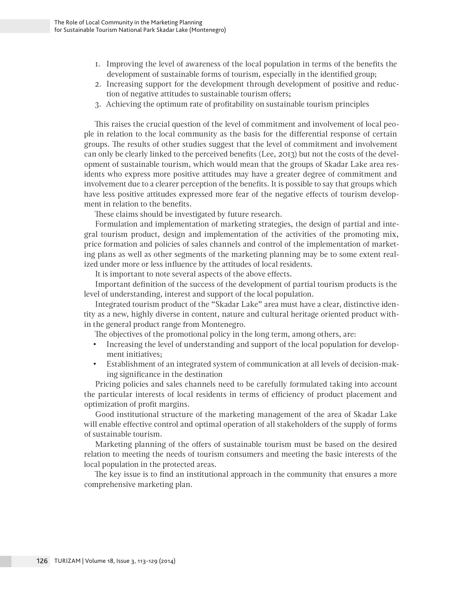- 1. Improving the level of awareness of the local population in terms of the benefits the development of sustainable forms of tourism, especially in the identified group;
- 2. Increasing support for the development through development of positive and reduction of negative attitudes to sustainable tourism offers;
- 3. Achieving the optimum rate of profitability on sustainable tourism principles

This raises the crucial question of the level of commitment and involvement of local people in relation to the local community as the basis for the differential response of certain groups. The results of other studies suggest that the level of commitment and involvement can only be clearly linked to the perceived benefits (Lee, 2013) but not the costs of the development of sustainable tourism, which would mean that the groups of Skadar Lake area residents who express more positive attitudes may have a greater degree of commitment and involvement due to a clearer perception of the benefits. It is possible to say that groups which have less positive attitudes expressed more fear of the negative effects of tourism development in relation to the benefits.

These claims should be investigated by future research.

Formulation and implementation of marketing strategies, the design of partial and integral tourism product, design and implementation of the activities of the promoting mix, price formation and policies of sales channels and control of the implementation of marketing plans as well as other segments of the marketing planning may be to some extent realized under more or less influence by the attitudes of local residents.

It is important to note several aspects of the above effects.

Important definition of the success of the development of partial tourism products is the level of understanding, interest and support of the local population.

Integrated tourism product of the "Skadar Lake" area must have a clear, distinctive identity as a new, highly diverse in content, nature and cultural heritage oriented product within the general product range from Montenegro.

The objectives of the promotional policy in the long term, among others, are:

- Increasing the level of understanding and support of the local population for development initiatives;
- Establishment of an integrated system of communication at all levels of decision-making significance in the destination

Pricing policies and sales channels need to be carefully formulated taking into account the particular interests of local residents in terms of efficiency of product placement and optimization of profit margins.

Good institutional structure of the marketing management of the area of Skadar Lake will enable effective control and optimal operation of all stakeholders of the supply of forms of sustainable tourism.

Marketing planning of the offers of sustainable tourism must be based on the desired relation to meeting the needs of tourism consumers and meeting the basic interests of the local population in the protected areas.

The key issue is to find an institutional approach in the community that ensures a more comprehensive marketing plan.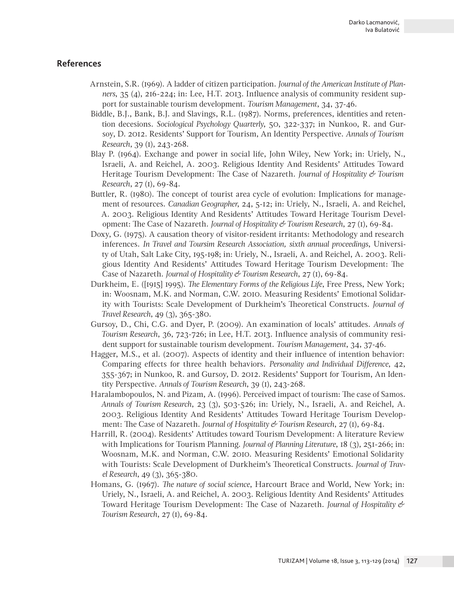# **References**

- Arnstein, S.R. (1969). A ladder of citizen participation. *Journal of the American Institute of Planners*, 35 (4), 216-224; in: Lee, H.T. 2013. Influence analysis of community resident support for sustainable tourism development. *Tourism Management*, 34, 37-46.
- Biddle, B.J., Bank, B.J. and Slavings, R.L. (1987). Norms, preferences, identities and retention decesions. *Sociological Psychology Quarterly*, 50, 322-337; in Nunkoo, R. and Gursoy, D. 2012. Residents' Support for Tourism, An Identity Perspective. *Annals of Tourism Research*, 39 (1), 243-268.
- Blay P. (1964). Exchange and power in social life, John Wiley, New York; in: Uriely, N., Israeli, A. and Reichel, A. 2003. Religious Identity And Residents' Attitudes Toward Heritage Tourism Development: The Case of Nazareth. *Journal of Hospitality & Tourism Research*, 27 (1), 69-84.
- Buttler, R. (1980). The concept of tourist area cycle of evolution: Implications for management of resources. *Canadian Geographer*, 24, 5-12; in: Uriely, N., Israeli, A. and Reichel, A. 2003. Religious Identity And Residents' Attitudes Toward Heritage Tourism Development: The Case of Nazareth. *Journal of Hospitality & Tourism Research*, 27 (1), 69-84.
- Doxy, G. (1975). A causation theory of visitor-resident irritants: Methodology and research inferences. *In Travel and Toursim Research Association, sixth annual proceedings*, University of Utah, Salt Lake City, 195-198; in: Uriely, N., Israeli, A. and Reichel, A. 2003. Religious Identity And Residents' Attitudes Toward Heritage Tourism Development: The Case of Nazareth. *Journal of Hospitality & Tourism Research*, 27 (1), 69-84.
- Durkheim, E. ([1915] 1995). *The Elementary Forms of the Religious Life*, Free Press, New York; in: Woosnam, M.K. and Norman, C.W. 2010. Measuring Residents' Emotional Solidarity with Tourists: Scale Development of Durkheim's Theoretical Constructs. *Journal of Travel Research*, 49 (3), 365-380.
- Gursoy, D., Chi, C.G. and Dyer, P. (2009). An examination of locals' attitudes. *Annals of Tourism Research*, 36, 723-726; in Lee, H.T. 2013. Influence analysis of community resident support for sustainable tourism development. *Tourism Management*, 34, 37-46.
- Hagger, M.S., et al. (2007). Aspects of identity and their influence of intention behavior: Comparing effects for three health behaviors. *Personality and Individual Difference*, 42, 355-367; in Nunkoo, R. and Gursoy, D. 2012. Residents' Support for Tourism, An Identity Perspective. *Annals of Tourism Research*, 39 (1), 243-268.
- Haralambopoulos, N. and Pizam, A. (1996). Perceived impact of tourism: The case of Samos. *Annals of Tourism Research*, 23 (3), 503-526; in: Uriely, N., Israeli, A. and Reichel, A. 2003. Religious Identity And Residents' Attitudes Toward Heritage Tourism Development: The Case of Nazareth. *Journal of Hospitality & Tourism Research*, 27 (1), 69-84.
- Harrill, R. (2004). Residents' Attitudes toward Tourism Development: A literature Review with Implications for Tourism Planning. *Journal of Planning Literature*, 18 (3), 251-266; in: Woosnam, M.K. and Norman, C.W. 2010. Measuring Residents' Emotional Solidarity with Tourists: Scale Development of Durkheim's Theoretical Constructs. *Journal of Travel Research*, 49 (3), 365-380.
- Homans, G. (1967). *The nature of social science*, Harcourt Brace and World, New York; in: Uriely, N., Israeli, A. and Reichel, A. 2003. Religious Identity And Residents' Attitudes Toward Heritage Tourism Development: The Case of Nazareth. *Journal of Hospitality & Tourism Research*, 27 (1), 69-84.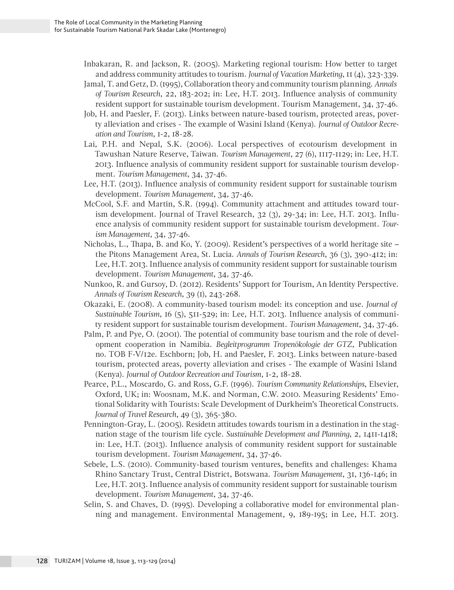Inbakaran, R. and Jackson, R. (2005). Marketing regional tourism: How better to target and address community attitudes to tourism. *Journal of Vacation Marketing*, 11 (4), 323-339.

- Jamal, T. and Getz, D. (1995), Collaboration theory and community tourism planning. *Annals of Tourism Research*, 22, 183-202; in: Lee, H.T. 2013. Influence analysis of community resident support for sustainable tourism development. Tourism Management, 34, 37-46.
- Job, H. and Paesler, F. (2013). Links between nature-based tourism, protected areas, poverty alleviation and crises - The example of Wasini Island (Kenya). *Journal of Outdoor Recreation and Tourism*, 1-2, 18-28.
- Lai, P.H. and Nepal, S.K. (2006). Local perspectives of ecotourism development in Tawushan Nature Reserve, Taiwan. *Tourism Management*, 27 (6), 1117-1129; in: Lee, H.T. 2013. Influence analysis of community resident support for sustainable tourism development. *Tourism Management*, 34, 37-46.
- Lee, H.T. (2013). Influence analysis of community resident support for sustainable tourism development. *Tourism Management*, 34, 37-46.
- McCool, S.F. and Martin, S.R. (1994). Community attachment and attitudes toward tourism development. Journal of Travel Research, 32 (3), 29-34; in: Lee, H.T. 2013. Influence analysis of community resident support for sustainable tourism development. *Tourism Management*, 34, 37-46.
- Nicholas, L., Thapa, B. and Ko, Y. (2009). Resident's perspectives of a world heritage site the Pitons Management Area, St. Lucia. *Annals of Tourism Research*, 36 (3), 390-412; in: Lee, H.T. 2013. Influence analysis of community resident support for sustainable tourism development. *Tourism Management*, 34, 37-46.
- Nunkoo, R. and Gursoy, D. (2012). Residents' Support for Tourism, An Identity Perspective. *Annals of Tourism Research*, 39 (1), 243-268.
- Okazaki, E. (2008). A community-based tourism model: its conception and use. *Journal of Sustainable Tourism*, 16 (5), 511-529; in: Lee, H.T. 2013. Influence analysis of community resident support for sustainable tourism development. *Tourism Management*, 34, 37-46.
- Palm, P. and Pye, O. (2001). The potential of community base tourism and the role of development cooperation in Namibia. *Begleitprogramm Tropenökologie der GTZ*, Publication no. TOB F-V/12e. Eschborn; Job, H. and Paesler, F. 2013. Links between nature-based tourism, protected areas, poverty alleviation and crises - The example of Wasini Island (Kenya). *Journal of Outdoor Recreation and Tourism*, 1-2, 18-28.
- Pearce, P.L., Moscardo, G. and Ross, G.F. (1996). *Tourism Community Relationships*, Elsevier, Oxford, UK; in: Woosnam, M.K. and Norman, C.W. 2010. Measuring Residents' Emotional Solidarity with Tourists: Scale Development of Durkheim's Theoretical Constructs. *Journal of Travel Research*, 49 (3), 365-380.
- Pennington-Gray, L. (2005). Residetn attitudes towards tourism in a destination in the stagnation stage of the tourism life cycle. *Sustainable Development and Planning*, 2, 1411-1418; in: Lee, H.T. (2013). Influence analysis of community resident support for sustainable tourism development. *Tourism Management*, 34, 37-46.
- Sebele, L.S. (2010). Community-based tourism ventures, benefits and challenges: Khama Rhino Sanctary Trust, Central District, Botswana. *Tourism Management*, 31, 136-146; in Lee, H.T. 2013. Influence analysis of community resident support for sustainable tourism development. *Tourism Management*, 34, 37-46.
- Selin, S. and Chaves, D. (1995). Developing a collaborative model for environmental planning and management. Environmental Management, 9, 189-195; in Lee, H.T. 2013.